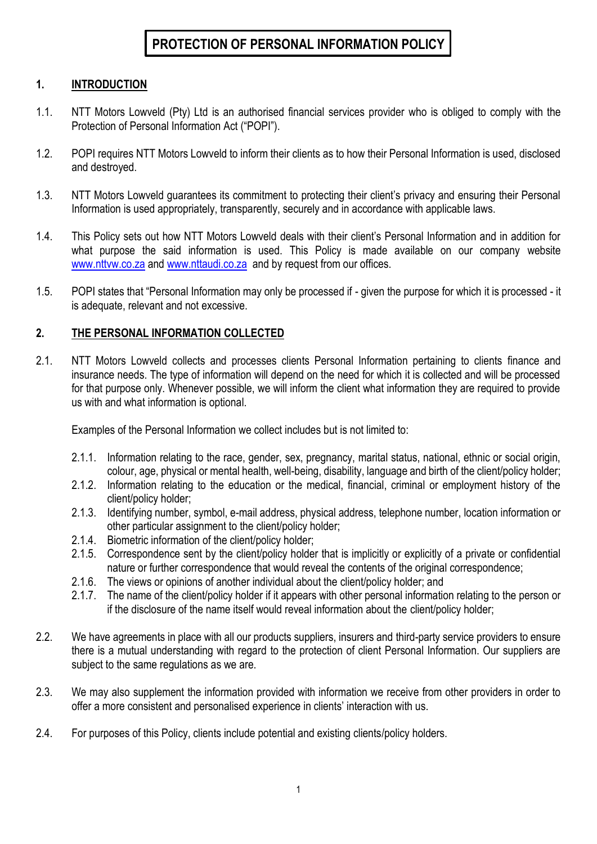# **PROTECTION OF PERSONAL INFORMATION POLICY**

### **1. INTRODUCTION**

- 1.1. NTT Motors Lowveld (Pty) Ltd is an authorised financial services provider who is obliged to comply with the Protection of Personal Information Act ("POPI").
- 1.2. POPI requires NTT Motors Lowveld to inform their clients as to how their Personal Information is used, disclosed and destroyed.
- 1.3. NTT Motors Lowveld guarantees its commitment to protecting their client's privacy and ensuring their Personal Information is used appropriately, transparently, securely and in accordance with applicable laws.
- 1.4. This Policy sets out how NTT Motors Lowveld deals with their client's Personal Information and in addition for what purpose the said information is used. This Policy is made available on our company website [www.nttvw.co.za](http://www.nttvw.co.za/) and [www.nttaudi.co.za](http://www.nttaudi.co.za/) and by request from our offices.
- 1.5. POPI states that "Personal Information may only be processed if given the purpose for which it is processed it is adequate, relevant and not excessive.

### **2. THE PERSONAL INFORMATION COLLECTED**

2.1. NTT Motors Lowveld collects and processes clients Personal Information pertaining to clients finance and insurance needs. The type of information will depend on the need for which it is collected and will be processed for that purpose only. Whenever possible, we will inform the client what information they are required to provide us with and what information is optional.

Examples of the Personal Information we collect includes but is not limited to:

- 2.1.1. Information relating to the race, gender, sex, pregnancy, marital status, national, ethnic or social origin, colour, age, physical or mental health, well-being, disability, language and birth of the client/policy holder;
- 2.1.2. Information relating to the education or the medical, financial, criminal or employment history of the client/policy holder;
- 2.1.3. Identifying number, symbol, e-mail address, physical address, telephone number, location information or other particular assignment to the client/policy holder;
- 2.1.4. Biometric information of the client/policy holder;
- 2.1.5. Correspondence sent by the client/policy holder that is implicitly or explicitly of a private or confidential nature or further correspondence that would reveal the contents of the original correspondence;
- 2.1.6. The views or opinions of another individual about the client/policy holder; and
- 2.1.7. The name of the client/policy holder if it appears with other personal information relating to the person or if the disclosure of the name itself would reveal information about the client/policy holder;
- 2.2. We have agreements in place with all our products suppliers, insurers and third-party service providers to ensure there is a mutual understanding with regard to the protection of client Personal Information. Our suppliers are subject to the same regulations as we are.
- 2.3. We may also supplement the information provided with information we receive from other providers in order to offer a more consistent and personalised experience in clients' interaction with us.
- 2.4. For purposes of this Policy, clients include potential and existing clients/policy holders.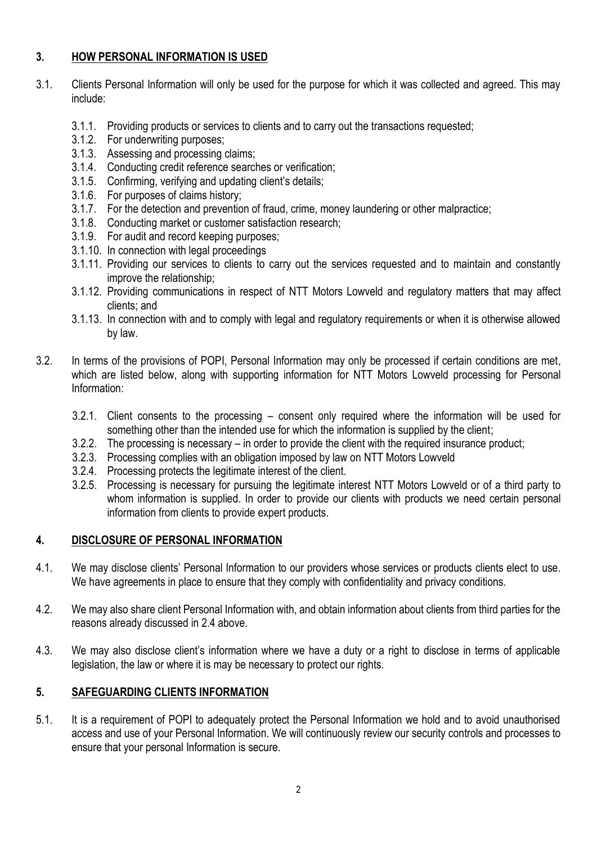### **3. HOW PERSONAL INFORMATION IS USED**

- 3.1. Clients Personal Information will only be used for the purpose for which it was collected and agreed. This may include:
	- 3.1.1. Providing products or services to clients and to carry out the transactions requested;
	- 3.1.2. For underwriting purposes;
	- 3.1.3. Assessing and processing claims;
	- 3.1.4. Conducting credit reference searches or verification;
	- 3.1.5. Confirming, verifying and updating client's details;
	- 3.1.6. For purposes of claims history;
	- 3.1.7. For the detection and prevention of fraud, crime, money laundering or other malpractice;
	- 3.1.8. Conducting market or customer satisfaction research;
	- 3.1.9. For audit and record keeping purposes;
	- 3.1.10. In connection with legal proceedings
	- 3.1.11. Providing our services to clients to carry out the services requested and to maintain and constantly improve the relationship;
	- 3.1.12. Providing communications in respect of NTT Motors Lowveld and regulatory matters that may affect clients; and
	- 3.1.13. In connection with and to comply with legal and regulatory requirements or when it is otherwise allowed by law.
- 3.2. In terms of the provisions of POPI, Personal Information may only be processed if certain conditions are met, which are listed below, along with supporting information for NTT Motors Lowveld processing for Personal Information:
	- 3.2.1. Client consents to the processing consent only required where the information will be used for something other than the intended use for which the information is supplied by the client;
	- 3.2.2. The processing is necessary in order to provide the client with the required insurance product;
	- 3.2.3. Processing complies with an obligation imposed by law on NTT Motors Lowveld
	- 3.2.4. Processing protects the legitimate interest of the client.
	- 3.2.5. Processing is necessary for pursuing the legitimate interest NTT Motors Lowveld or of a third party to whom information is supplied. In order to provide our clients with products we need certain personal information from clients to provide expert products.

# **4. DISCLOSURE OF PERSONAL INFORMATION**

- 4.1. We may disclose clients' Personal Information to our providers whose services or products clients elect to use. We have agreements in place to ensure that they comply with confidentiality and privacy conditions.
- 4.2. We may also share client Personal Information with, and obtain information about clients from third parties for the reasons already discussed in 2.4 above.
- 4.3. We may also disclose client's information where we have a duty or a right to disclose in terms of applicable legislation, the law or where it is may be necessary to protect our rights.

# **5. SAFEGUARDING CLIENTS INFORMATION**

5.1. It is a requirement of POPI to adequately protect the Personal Information we hold and to avoid unauthorised access and use of your Personal Information. We will continuously review our security controls and processes to ensure that your personal Information is secure.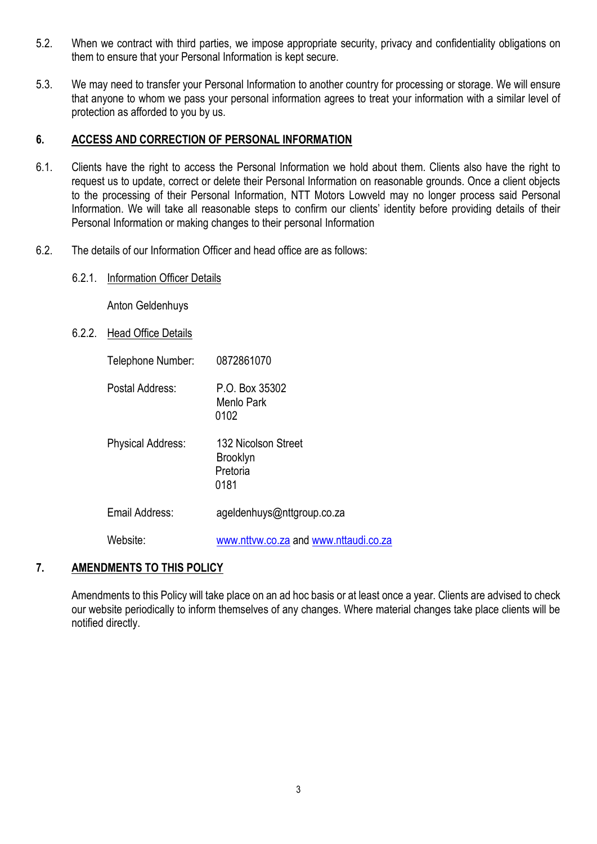- 5.2. When we contract with third parties, we impose appropriate security, privacy and confidentiality obligations on them to ensure that your Personal Information is kept secure.
- 5.3. We may need to transfer your Personal Information to another country for processing or storage. We will ensure that anyone to whom we pass your personal information agrees to treat your information with a similar level of protection as afforded to you by us.

#### **6. ACCESS AND CORRECTION OF PERSONAL INFORMATION**

- 6.1. Clients have the right to access the Personal Information we hold about them. Clients also have the right to request us to update, correct or delete their Personal Information on reasonable grounds. Once a client objects to the processing of their Personal Information, NTT Motors Lowveld may no longer process said Personal Information. We will take all reasonable steps to confirm our clients' identity before providing details of their Personal Information or making changes to their personal Information
- 6.2. The details of our Information Officer and head office are as follows:
	- 6.2.1. Information Officer Details

Anton Geldenhuys

6.2.2. Head Office Details

| Telephone Number: | 0872861070                                                 |
|-------------------|------------------------------------------------------------|
| Postal Address:   | P.O. Box 35302<br>Menlo Park<br>0102                       |
| Physical Address: | 132 Nicolson Street<br><b>Brooklyn</b><br>Pretoria<br>0181 |
| Email Address:    | ageIdenhuys@nttgroup.co.za                                 |
| Website:          | www.nttvw.co.za and www.nttaudi.co.za                      |

#### **7. AMENDMENTS TO THIS POLICY**

Amendments to this Policy will take place on an ad hoc basis or at least once a year. Clients are advised to check our website periodically to inform themselves of any changes. Where material changes take place clients will be notified directly.